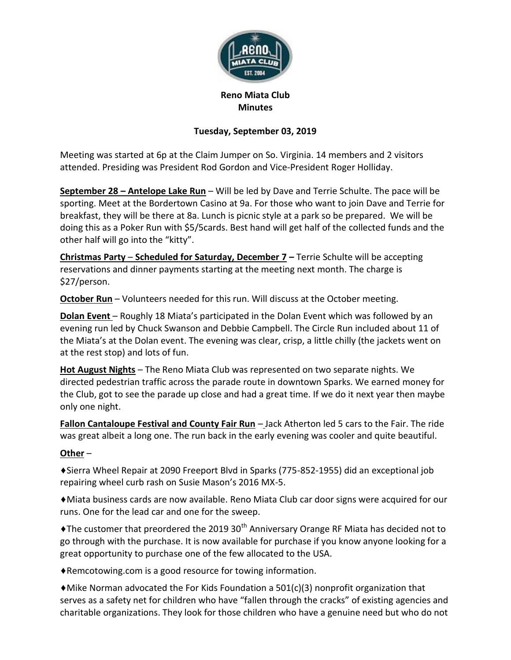

## **Reno Miata Club Minutes**

## **Tuesday, September 03, 2019**

Meeting was started at 6p at the Claim Jumper on So. Virginia. 14 members and 2 visitors attended. Presiding was President Rod Gordon and Vice-President Roger Holliday.

**September 28 – Antelope Lake Run** – Will be led by Dave and Terrie Schulte. The pace will be sporting. Meet at the Bordertown Casino at 9a. For those who want to join Dave and Terrie for breakfast, they will be there at 8a. Lunch is picnic style at a park so be prepared. We will be doing this as a Poker Run with \$5/5cards. Best hand will get half of the collected funds and the other half will go into the "kitty".

**Christmas Party** – **Scheduled for Saturday, December 7 –** Terrie Schulte will be accepting reservations and dinner payments starting at the meeting next month. The charge is \$27/person.

**October Run** – Volunteers needed for this run. Will discuss at the October meeting.

**Dolan Event** – Roughly 18 Miata's participated in the Dolan Event which was followed by an evening run led by Chuck Swanson and Debbie Campbell. The Circle Run included about 11 of the Miata's at the Dolan event. The evening was clear, crisp, a little chilly (the jackets went on at the rest stop) and lots of fun.

**Hot August Nights** – The Reno Miata Club was represented on two separate nights. We directed pedestrian traffic across the parade route in downtown Sparks. We earned money for the Club, got to see the parade up close and had a great time. If we do it next year then maybe only one night.

**Fallon Cantaloupe Festival and County Fair Run** – Jack Atherton led 5 cars to the Fair. The ride was great albeit a long one. The run back in the early evening was cooler and quite beautiful.

## **Other** –

♦Sierra Wheel Repair at 2090 Freeport Blvd in Sparks (775-852-1955) did an exceptional job repairing wheel curb rash on Susie Mason's 2016 MX-5.

♦Miata business cards are now available. Reno Miata Club car door signs were acquired for our runs. One for the lead car and one for the sweep.

 $\triangle$ The customer that preordered the 2019 30<sup>th</sup> Anniversary Orange RF Miata has decided not to go through with the purchase. It is now available for purchase if you know anyone looking for a great opportunity to purchase one of the few allocated to the USA.

♦Remcotowing.com is a good resource for towing information.

 $\blacklozenge$ Mike Norman advocated the For Kids Foundation a 501(c)(3) nonprofit organization that serves as a safety net for children who have "fallen through the cracks" of existing agencies and charitable organizations. They look for those children who have a genuine need but who do not